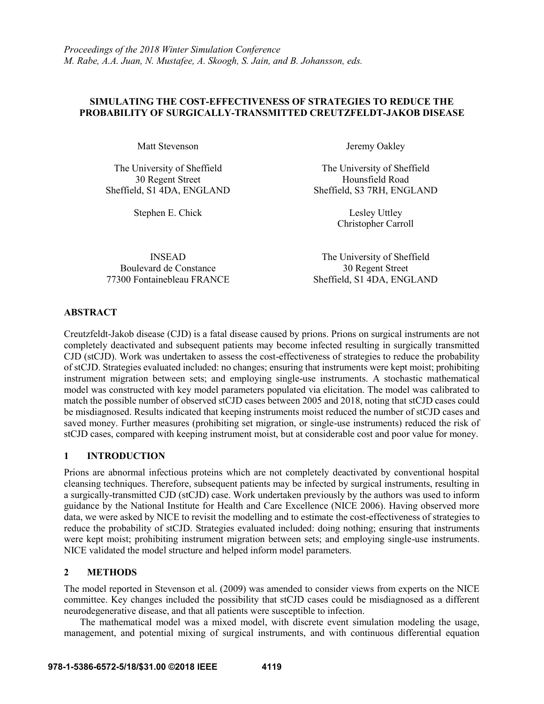## **SIMULATING THE COST-EFFECTIVENESS OF STRATEGIES TO REDUCE THE PROBABILITY OF SURGICALLY-TRANSMITTED CREUTZFELDT-JAKOB DISEASE**

Matt Stevenson Jeremy Oakley

Sheffield, S1 4DA, ENGLAND Sheffield, S3 7RH, ENGLAND

Boulevard de Constance 30 Regent Street

The University of Sheffield The University of Sheffield 30 Regent Street Hounsfield Road

Stephen E. Chick Lesley Uttley Christopher Carroll

INSEAD The University of Sheffield 77300 Fontainebleau FRANCE Sheffield, S1 4DA, ENGLAND

### **ABSTRACT**

Creutzfeldt-Jakob disease (CJD) is a fatal disease caused by prions. Prions on surgical instruments are not completely deactivated and subsequent patients may become infected resulting in surgically transmitted CJD (stCJD). Work was undertaken to assess the cost-effectiveness of strategies to reduce the probability of stCJD. Strategies evaluated included: no changes; ensuring that instruments were kept moist; prohibiting instrument migration between sets; and employing single-use instruments. A stochastic mathematical model was constructed with key model parameters populated via elicitation. The model was calibrated to match the possible number of observed stCJD cases between 2005 and 2018, noting that stCJD cases could be misdiagnosed. Results indicated that keeping instruments moist reduced the number of stCJD cases and saved money. Further measures (prohibiting set migration, or single-use instruments) reduced the risk of stCJD cases, compared with keeping instrument moist, but at considerable cost and poor value for money.

## **1 INTRODUCTION**

Prions are abnormal infectious proteins which are not completely deactivated by conventional hospital cleansing techniques. Therefore, subsequent patients may be infected by surgical instruments, resulting in a surgically-transmitted CJD (stCJD) case. Work undertaken previously by the authors was used to inform guidance by the National Institute for Health and Care Excellence (NICE 2006). Having observed more data, we were asked by NICE to revisit the modelling and to estimate the cost-effectiveness of strategies to reduce the probability of stCJD. Strategies evaluated included: doing nothing; ensuring that instruments were kept moist; prohibiting instrument migration between sets; and employing single-use instruments. NICE validated the model structure and helped inform model parameters.

# **2 METHODS**

The model reported in Stevenson et al. (2009) was amended to consider views from experts on the NICE committee. Key changes included the possibility that stCJD cases could be misdiagnosed as a different neurodegenerative disease, and that all patients were susceptible to infection.

The mathematical model was a mixed model, with discrete event simulation modeling the usage, management, and potential mixing of surgical instruments, and with continuous differential equation